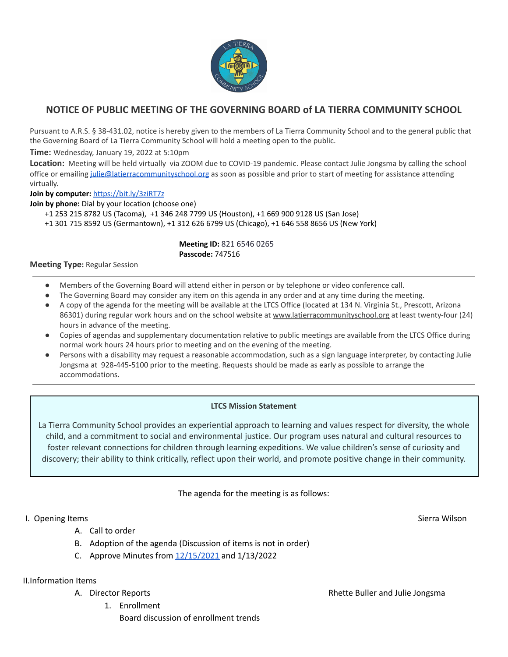

# **NOTICE OF PUBLIC MEETING OF THE GOVERNING BOARD of LA TIERRA COMMUNITY SCHOOL**

Pursuant to A.R.S. § 38-431.02, notice is hereby given to the members of La Tierra Community School and to the general public that the Governing Board of La Tierra Community School will hold a meeting open to the public.

**Time:** Wednesday, January 19, 2022 at 5:10pm

**Location:** Meeting will be held virtually via ZOOM due to COVID-19 pandemic. Please contact Julie Jongsma by calling the school office or emailing [julie@latierracommunityschool.org](mailto:julie@latierracommunityschool.org) as soon as possible and prior to start of meeting for assistance attending virtually.

**Join by computer:** <https://bit.ly/3ziRT7z>

**Join by phone:** Dial by your location (choose one)

+1 253 215 8782 US (Tacoma), +1 346 248 7799 US (Houston), +1 669 900 9128 US (San Jose)

+1 301 715 8592 US (Germantown), +1 312 626 6799 US (Chicago), +1 646 558 8656 US (New York)

#### **Meeting ID:** 821 6546 0265 **Passcode:** 747516

#### **Meeting Type:** Regular Session

- Members of the Governing Board will attend either in person or by telephone or video conference call.
- The Governing Board may consider any item on this agenda in any order and at any time during the meeting.
- A copy of the agenda for the meeting will be available at the LTCS Office (located at 134 N. Virginia St., Prescott, Arizona 86301) during regular work hours and on the school website at [www.latierracommunityschool.org](http://www.latierracommunityschool.org) at least twenty-four (24) hours in advance of the meeting.
- Copies of agendas and supplementary documentation relative to public meetings are available from the LTCS Office during normal work hours 24 hours prior to meeting and on the evening of the meeting.
- Persons with a disability may request a reasonable accommodation, such as a sign language interpreter, by contacting Julie Jongsma at 928-445-5100 prior to the meeting. Requests should be made as early as possible to arrange the accommodations.

### **LTCS Mission Statement**

La Tierra Community School provides an experiential approach to learning and values respect for diversity, the whole child, and a commitment to social and environmental justice. Our program uses natural and cultural resources to foster relevant connections for children through learning expeditions. We value children's sense of curiosity and discovery; their ability to think critically, reflect upon their world, and promote positive change in their community.

### The agenda for the meeting is as follows:

### I. Opening Items Sierra Wilson Sierra Wilson Sierra Wilson Sierra Wilson Sierra Wilson Sierra Wilson Sierra Wilson

- A. Call to order
- B. Adoption of the agenda (Discussion of items is not in order)
- C. Approve Minutes from  $12/15/2021$  and  $1/13/2022$

### II.Information Items

- - 1. Enrollment Board discussion of enrollment trends

A. Director Reports **Rhette Buller and Julie Jongsma**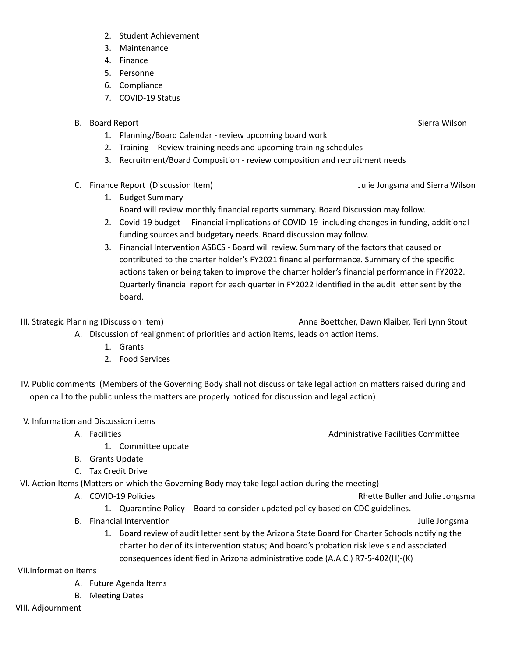- 2. Student Achievement
- 3. Maintenance
- 4. Finance
- 5. Personnel
- 6. Compliance
- 7. COVID-19 Status
- B. Board Report Sierra Wilson Sierra Wilson Sierra Wilson Sierra Wilson Sierra Wilson
	- 1. Planning/Board Calendar review upcoming board work
	- 2. Training Review training needs and upcoming training schedules
	- 3. Recruitment/Board Composition review composition and recruitment needs
- C. Finance Report (Discussion Item) Julie Jongsma and Sierra Wilson
	- 1. Budget Summary Board will review monthly financial reports summary. Board Discussion may follow.
	- 2. Covid-19 budget Financial implications of COVID-19 including changes in funding, additional funding sources and budgetary needs. Board discussion may follow.
	- 3. Financial Intervention ASBCS Board will review. Summary of the factors that caused or contributed to the charter holder's FY2021 financial performance. Summary of the specific actions taken or being taken to improve the charter holder's financial performance in FY2022. Quarterly financial report for each quarter in FY2022 identified in the audit letter sent by the board.

III. Strategic Planning (Discussion Item) and the strategic Planning Court Court Anne Boettcher, Dawn Klaiber, Teri Lynn Stout A. Discussion of realignment of priorities and action items, leads on action items.

- 1. Grants
- 2. Food Services

IV. Public comments (Members of the Governing Body shall not discuss or take legal action on matters raised during and open call to the public unless the matters are properly noticed for discussion and legal action)

V. Information and Discussion items

- 1. Committee update
- B. Grants Update
- C. Tax Credit Drive

VI. Action Items (Matters on which the Governing Body may take legal action during the meeting)

- A. COVID-19 Policies **COVID-19 Policies** Rhette Buller and Julie Jongsma
	- 1. Quarantine Policy Board to consider updated policy based on CDC guidelines.
- B. Financial Intervention and the state of the state of the state of the state of the state of the state of the state of the state of the state of the state of the state of the state of the state of the state of the state
	- 1. Board review of audit letter sent by the Arizona State Board for Charter Schools notifying the charter holder of its intervention status; And board's probation risk levels and associated consequences identified in Arizona administrative code (A.A.C.) R7-5-402(H)-(K)

VII.Information Items

- A. Future Agenda Items
- B. Meeting Dates

VIII. Adjournment

A. Facilities **Administrative Facilities** Committee